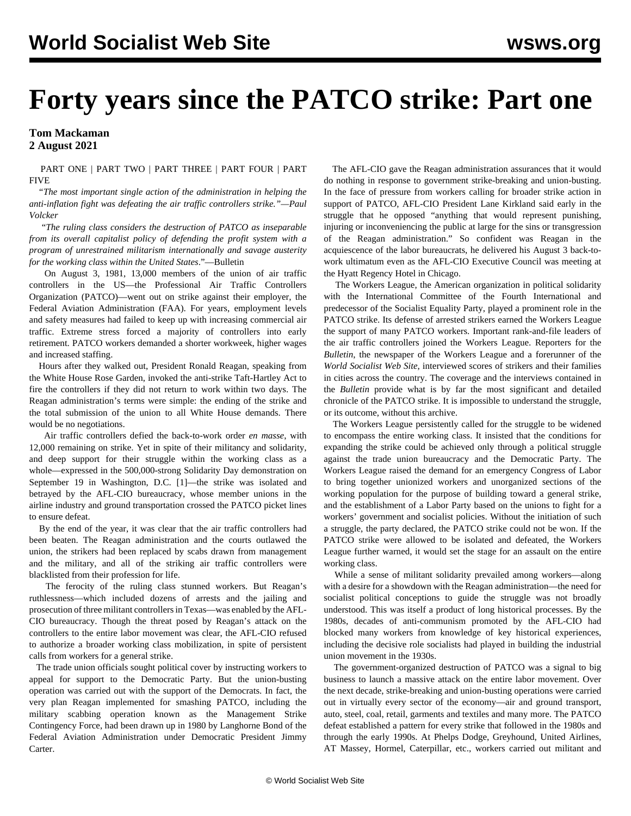## **Forty years since the PATCO strike: Part one**

## **Tom Mackaman 2 August 2021**

 [PART ONE](/en/articles/2021/08/03/patc-a03.html) | [PART TWO](/en/articles/2021/08/04/pat2-a04.html) | [PART THREE](/en/articles/2021/08/07/patc-a07.html) | [PART FOUR](/en/articles/2021/08/09/patc-a09.html) | [PART](/en/articles/2021/08/12/patc-a12.html) [FIVE](/en/articles/2021/08/12/patc-a12.html)

 *"The most important single action of the administration in helping the anti-inflation fight was defeating the air traffic controllers strike."—Paul Volcker*

 "*The ruling class considers the destruction of PATCO as inseparable from its overall capitalist policy of defending the profit system with a program of unrestrained militarism internationally and savage austerity for the working class within the United States*."—Bulletin

 On August 3, 1981, 13,000 members of the union of air traffic controllers in the US—the Professional Air Traffic Controllers Organization (PATCO)—went out on strike against their employer, the Federal Aviation Administration (FAA). For years, employment levels and safety measures had failed to keep up with increasing commercial air traffic. Extreme stress forced a majority of controllers into early retirement. PATCO workers demanded a shorter workweek, higher wages and increased staffing.

 Hours after they walked out, President Ronald Reagan, speaking from the White House Rose Garden, invoked the anti-strike Taft-Hartley Act to fire the controllers if they did not return to work within two days. The Reagan administration's terms were simple: the ending of the strike and the total submission of the union to all White House demands. There would be no negotiations.

 Air traffic controllers defied the back-to-work order *en masse*, with 12,000 remaining on strike. Yet in spite of their militancy and solidarity, and deep support for their struggle within the working class as a whole—expressed in the 500,000-strong Solidarity Day demonstration on September 19 in Washington, D.C. [1]—the strike was isolated and betrayed by the AFL-CIO bureaucracy, whose member unions in the airline industry and ground transportation crossed the PATCO picket lines to ensure defeat.

 By the end of the year, it was clear that the air traffic controllers had been beaten. The Reagan administration and the courts outlawed the union, the strikers had been replaced by scabs drawn from management and the military, and all of the striking air traffic controllers were blacklisted from their profession for life.

 The ferocity of the ruling class stunned workers. But Reagan's ruthlessness—which included dozens of arrests and the jailing and prosecution of three militant controllers in Texas—was enabled by the AFL-CIO bureaucracy. Though the threat posed by Reagan's attack on the controllers to the entire labor movement was clear, the AFL-CIO refused to authorize a broader working class mobilization, in spite of persistent calls from workers for a general strike.

 The trade union officials sought political cover by instructing workers to appeal for support to the Democratic Party. But the union-busting operation was carried out with the support of the Democrats. In fact, the very plan Reagan implemented for smashing PATCO, including the military scabbing operation known as the Management Strike Contingency Force, had been drawn up in 1980 by Langhorne Bond of the Federal Aviation Administration under Democratic President Jimmy Carter.

 The AFL-CIO gave the Reagan administration assurances that it would do nothing in response to government strike-breaking and union-busting. In the face of pressure from workers calling for broader strike action in support of PATCO, AFL-CIO President Lane Kirkland said early in the struggle that he opposed "anything that would represent punishing, injuring or inconveniencing the public at large for the sins or transgression of the Reagan administration." So confident was Reagan in the acquiescence of the labor bureaucrats, he delivered his August 3 back-towork ultimatum even as the AFL-CIO Executive Council was meeting at the Hyatt Regency Hotel in Chicago.

 The Workers League, the American organization in political solidarity with the International Committee of the Fourth International and predecessor of the Socialist Equality Party, played a prominent role in the PATCO strike. Its defense of arrested strikers earned the Workers League the support of many PATCO workers. Important rank-and-file leaders of the air traffic controllers joined the Workers League. Reporters for the *Bulletin*, the newspaper of the Workers League and a forerunner of the *World Socialist Web Site*, interviewed scores of strikers and their families in cities across the country. The coverage and the interviews contained in the *Bulletin* provide what is by far the most significant and detailed chronicle of the PATCO strike. It is impossible to understand the struggle, or its outcome, without this archive.

 The Workers League persistently called for the struggle to be widened to encompass the entire working class. It insisted that the conditions for expanding the strike could be achieved only through a political struggle against the trade union bureaucracy and the Democratic Party. The Workers League raised the demand for an emergency Congress of Labor to bring together unionized workers and unorganized sections of the working population for the purpose of building toward a general strike, and the establishment of a Labor Party based on the unions to fight for a workers' government and socialist policies. Without the initiation of such a struggle, the party declared, the PATCO strike could not be won. If the PATCO strike were allowed to be isolated and defeated, the Workers League further warned, it would set the stage for an assault on the entire working class.

 While a sense of militant solidarity prevailed among workers—along with a desire for a showdown with the Reagan administration—the need for socialist political conceptions to guide the struggle was not broadly understood. This was itself a product of long historical processes. By the 1980s, decades of anti-communism promoted by the AFL-CIO had blocked many workers from knowledge of key historical experiences, including the decisive role socialists had played in building the industrial union movement in the 1930s.

 The government-organized destruction of PATCO was a signal to big business to launch a massive attack on the entire labor movement. Over the next decade, strike-breaking and union-busting operations were carried out in virtually every sector of the economy—air and ground transport, auto, steel, coal, retail, garments and textiles and many more. The PATCO defeat established a pattern for every strike that followed in the 1980s and through the early 1990s. At Phelps Dodge, Greyhound, United Airlines, AT Massey, Hormel, Caterpillar, etc., workers carried out militant and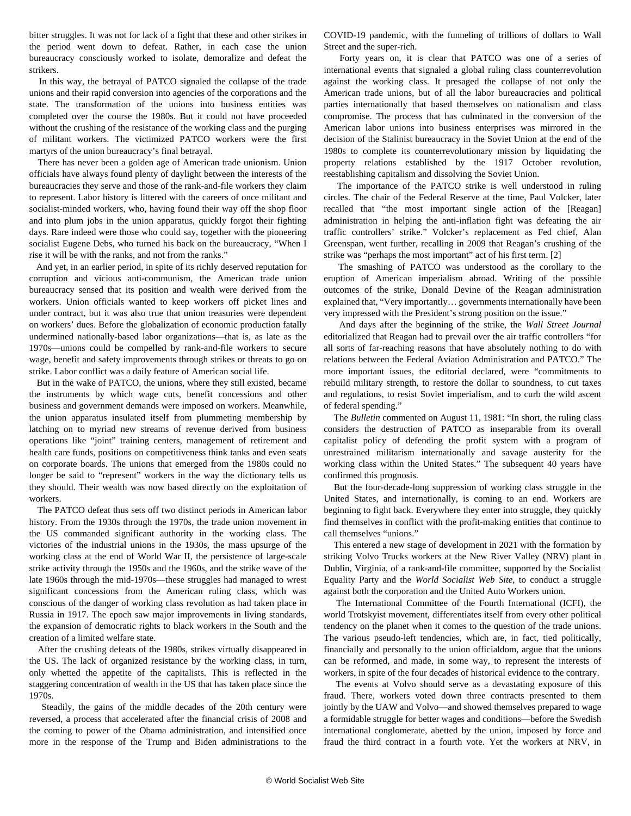bitter struggles. It was not for lack of a fight that these and other strikes in the period went down to defeat. Rather, in each case the union bureaucracy consciously worked to isolate, demoralize and defeat the strikers.

 In this way, the betrayal of PATCO signaled the collapse of the trade unions and their rapid conversion into agencies of the corporations and the state. The transformation of the unions into business entities was completed over the course the 1980s. But it could not have proceeded without the crushing of the resistance of the working class and the purging of militant workers. The victimized PATCO workers were the first martyrs of the union bureaucracy's final betrayal.

 There has never been a golden age of American trade unionism. Union officials have always found plenty of daylight between the interests of the bureaucracies they serve and those of the rank-and-file workers they claim to represent. Labor history is littered with the careers of once militant and socialist-minded workers, who, having found their way off the shop floor and into plum jobs in the union apparatus, quickly forgot their fighting days. Rare indeed were those who could say, together with the pioneering socialist Eugene Debs, who turned his back on the bureaucracy, "When I rise it will be with the ranks, and not from the ranks."

 And yet, in an earlier period, in spite of its richly deserved reputation for corruption and vicious anti-communism, the American trade union bureaucracy sensed that its position and wealth were derived from the workers. Union officials wanted to keep workers off picket lines and under contract, but it was also true that union treasuries were dependent on workers' dues. Before the globalization of economic production fatally undermined nationally-based labor organizations—that is, as late as the 1970s—unions could be compelled by rank-and-file workers to secure wage, benefit and safety improvements through strikes or threats to go on strike. Labor conflict was a daily feature of American social life.

 But in the wake of PATCO, the unions, where they still existed, became the instruments by which wage cuts, benefit concessions and other business and government demands were imposed on workers. Meanwhile, the union apparatus insulated itself from plummeting membership by latching on to myriad new streams of revenue derived from business operations like "joint" training centers, management of retirement and health care funds, positions on competitiveness think tanks and even seats on corporate boards. The unions that emerged from the 1980s could no longer be said to "represent" workers in the way the dictionary tells us they should. Their wealth was now based directly on the exploitation of workers.

 The PATCO defeat thus sets off two distinct periods in American labor history. From the 1930s through the 1970s, the trade union movement in the US commanded significant authority in the working class. The victories of the industrial unions in the 1930s, the mass upsurge of the working class at the end of World War II, the persistence of large-scale strike activity through the 1950s and the 1960s, and the strike wave of the late 1960s through the mid-1970s—these struggles had managed to wrest significant concessions from the American ruling class, which was conscious of the danger of working class revolution as had taken place in Russia in 1917. The epoch saw major improvements in living standards, the expansion of democratic rights to black workers in the South and the creation of a limited welfare state.

 After the crushing defeats of the 1980s, strikes virtually disappeared in the US. The lack of organized resistance by the working class, in turn, only whetted the appetite of the capitalists. This is reflected in the staggering concentration of wealth in the US that has taken place since the 1970s.

 Steadily, the gains of the middle decades of the 20th century were reversed, a process that accelerated after the financial crisis of 2008 and the coming to power of the Obama administration, and intensified once more in the response of the Trump and Biden administrations to the COVID-19 pandemic, with the funneling of trillions of dollars to Wall Street and the super-rich.

 Forty years on, it is clear that PATCO was one of a series of international events that signaled a global ruling class counterrevolution against the working class. It presaged the collapse of not only the American trade unions, but of all the labor bureaucracies and political parties internationally that based themselves on nationalism and class compromise. The process that has culminated in the conversion of the American labor unions into business enterprises was mirrored in the decision of the Stalinist bureaucracy in the Soviet Union at the end of the 1980s to complete its counterrevolutionary mission by liquidating the property relations established by the 1917 October revolution, reestablishing capitalism and dissolving the Soviet Union.

 The importance of the PATCO strike is well understood in ruling circles. The chair of the Federal Reserve at the time, Paul Volcker, later recalled that "the most important single action of the [Reagan] administration in helping the anti-inflation fight was defeating the air traffic controllers' strike." Volcker's replacement as Fed chief, Alan Greenspan, went further, recalling in 2009 that Reagan's crushing of the strike was "perhaps the most important" act of his first term. [2]

 The smashing of PATCO was understood as the corollary to the eruption of American imperialism abroad. Writing of the possible outcomes of the strike, Donald Devine of the Reagan administration explained that, "Very importantly… governments internationally have been very impressed with the President's strong position on the issue."

 And days after the beginning of the strike, the *Wall Street Journal* editorialized that Reagan had to prevail over the air traffic controllers "for all sorts of far-reaching reasons that have absolutely nothing to do with relations between the Federal Aviation Administration and PATCO." The more important issues, the editorial declared, were "commitments to rebuild military strength, to restore the dollar to soundness, to cut taxes and regulations, to resist Soviet imperialism, and to curb the wild ascent of federal spending."

 The *Bulletin* commented on August 11, 1981: "In short, the ruling class considers the destruction of PATCO as inseparable from its overall capitalist policy of defending the profit system with a program of unrestrained militarism internationally and savage austerity for the working class within the United States." The subsequent 40 years have confirmed this prognosis.

 But the four-decade-long suppression of working class struggle in the United States, and internationally, is coming to an end. Workers are beginning to fight back. Everywhere they enter into struggle, they quickly find themselves in conflict with the profit-making entities that continue to call themselves "unions."

 This entered a new stage of development in 2021 with the formation by striking Volvo Trucks workers at the New River Valley (NRV) plant in Dublin, Virginia, of a rank-and-file committee, supported by the Socialist Equality Party and the *World Socialist Web Site*, to conduct a struggle against both the corporation and the United Auto Workers union.

 The International Committee of the Fourth International (ICFI), the world Trotskyist movement, differentiates itself from every other political tendency on the planet when it comes to the question of the trade unions. The various pseudo-left tendencies, which are, in fact, tied politically, financially and personally to the union officialdom, argue that the unions can be reformed, and made, in some way, to represent the interests of workers, in spite of the four decades of historical evidence to the contrary.

 The events at Volvo should serve as a devastating exposure of this fraud. There, workers voted down three contracts presented to them jointly by the UAW and Volvo—and showed themselves prepared to wage a formidable struggle for better wages and conditions—before the Swedish international conglomerate, abetted by the union, imposed by force and fraud the third contract in a fourth vote. Yet the workers at NRV, in